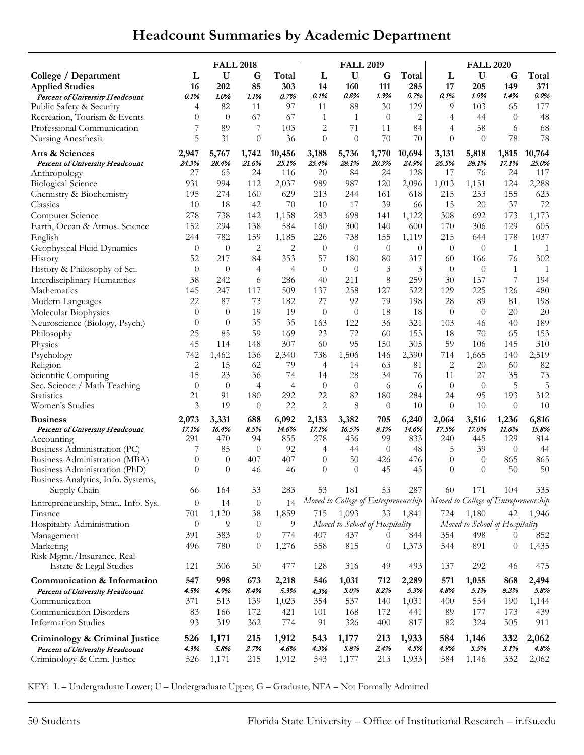## **Headcount Summaries by Academic Department**

|                                                                | <b>FALL 2018</b> |                    |                   |                     |                | <b>FALL 2019</b>                     |                    |                     | <b>FALL 2020</b> |                                      |                    |               |
|----------------------------------------------------------------|------------------|--------------------|-------------------|---------------------|----------------|--------------------------------------|--------------------|---------------------|------------------|--------------------------------------|--------------------|---------------|
| <u>College / Department</u><br><b>Applied Studies</b>          | L<br>16          | $\mathbf U$<br>202 | $\mathbf G$<br>85 | <b>Total</b><br>303 | L<br>14        | $\underline{\mathbf{U}}$<br>160      | $\mathbf G$<br>111 | <u>Total</u><br>285 | L<br>17          | $\overline{U}$<br>205                | $\mathbf G$<br>149 | Total<br>371  |
| Percent of University Headcount                                | 0.1%             | 1.0%               | 1.1%              | 0.7%                | 0.1%           | 0.8%                                 | 1.3%               | 0.7%                | 0.1%             | 1.0%                                 | 1.4%               | 0.9%          |
| Public Safety & Security                                       | 4                | 82                 | 11                | 97                  | 11             | 88                                   | 30                 | 129                 | 9                | 103                                  | 65                 | 177           |
| Recreation, Tourism & Events                                   | $\theta$         | $\theta$           | 67                | 67                  | $\mathbf{1}$   | $\mathbf{1}$                         | $\theta$           | $\overline{2}$      | 4                | 44                                   | $\theta$           | 48            |
| Professional Communication                                     | 7                | 89                 | 7                 | 103                 | 2              | 71                                   | 11                 | 84                  | 4                | 58                                   | 6                  | 68            |
| Nursing Anesthesia                                             | 5                | 31                 | $\theta$          | 36                  | $\theta$       | $\theta$                             | 70                 | 70                  | $\theta$         | $\theta$                             | 78                 | 78            |
| Arts & Sciences                                                | 2,947            | 5,767              | 1,742             | 10,456              | 3,188          | 5,736                                | 1,770              | 10,694              | 3,131            | 5,818                                | 1,815              | 10,764        |
| Percent of University Headcount                                | 24.3%<br>27      | 28.4%<br>65        | 21.6%<br>24       | 25.1%<br>116        | 25.4%<br>20    | 28.1%<br>84                          | 20.3%<br>24        | 24.9%<br>128        | 26.5%<br>17      | 28.1%<br>76                          | 17.1%<br>24        | 25.0%<br>117  |
| Anthropology<br><b>Biological Science</b>                      | 931              | 994                | 112               | 2,037               | 989            | 987                                  | 120                | 2,096               | 1,013            | 1,151                                | 124                | 2,288         |
| Chemistry & Biochemistry                                       | 195              | 274                | 160               | 629                 | 213            | 244                                  | 161                | 618                 | 215              | 253                                  | 155                | 623           |
| Classics                                                       | 10               | 18                 | 42                | 70                  | 10             | 17                                   | 39                 | 66                  | 15               | $20\,$                               | 37                 | 72            |
| Computer Science                                               | 278              | 738                | 142               | 1,158               | 283            | 698                                  | 141                | 1,122               | 308              | 692                                  | 173                | 1,173         |
| Earth, Ocean & Atmos. Science                                  | 152              | 294                | 138               | 584                 | 160            | 300                                  | 140                | 600                 | 170              | 306                                  | 129                | 605           |
| English                                                        | 244              | 782                | 159               | 1,185               | 226            | 738                                  | 155                | 1,119               | 215              | 644                                  | 178                | 1037          |
| Geophysical Fluid Dynamics                                     | $\theta$         | $\boldsymbol{0}$   | 2                 | $\overline{2}$      | $\theta$       | $\theta$                             | $\theta$           | $\theta$            | $\theta$         | $\theta$                             | -1                 | 1             |
| History                                                        | 52               | 217                | 84                | 353                 | 57             | 180                                  | 80                 | 317                 | 60               | 166                                  | 76                 | 302           |
| History & Philosophy of Sci.                                   | $\theta$         | $\theta$           | 4                 | $\overline{4}$      | $\theta$       | $\theta$                             | 3                  | 3                   | $\theta$         | $\theta$                             | 1                  | $\mathbf{1}$  |
| Interdisciplinary Humanities                                   | 38               | 242                | 6                 | 286                 | 40             | 211                                  | $\,8\,$            | 259                 | 30               | 157                                  | 7                  | 194           |
| Mathematics                                                    | 145              | 247                | 117               | 509                 | 137            | 258                                  | 127                | 522                 | 129              | 225                                  | 126                | 480           |
| Modern Languages                                               | 22               | 87                 | 73                | 182                 | 27             | 92                                   | 79                 | 198                 | 28               | 89                                   | 81                 | 198           |
| Molecular Biophysics                                           | $\theta$         | $\theta$           | 19                | 19                  | $\theta$       | $\theta$                             | 18                 | 18                  | $\theta$         | $\theta$                             | 20                 | $20\,$        |
| Neuroscience (Biology, Psych.)                                 | $\theta$         | $\theta$           | 35                | 35                  | 163            | 122                                  | 36                 | 321                 | 103              | 46                                   | 40                 | 189           |
| Philosophy                                                     | 25               | 85                 | 59                | 169                 | 23             | 72                                   | 60                 | 155                 | 18               | 70                                   | 65                 | 153           |
| Physics                                                        | 45               | 114                | 148               | 307                 | 60             | 95                                   | 150                | 305                 | 59               | 106                                  | 145                | 310           |
| Psychology                                                     | 742              | 1,462              | 136               | 2,340               | 738            | 1,506                                | 146                | 2,390               | 714              | 1,665                                | 140                | 2,519         |
| Religion                                                       | 2                | 15                 | 62                | 79                  | 4              | 14                                   | 63                 | 81                  | $\overline{c}$   | 20                                   | 60                 | 82            |
| Scientific Computing                                           | 15               | 23                 | 36                | 74                  | 14             | 28                                   | 34                 | 76                  | 11               | 27                                   | 35                 | 73            |
| Sec. Science / Math Teaching                                   | $\theta$         | $\theta$           | 4                 | 4                   | $\theta$       | $\theta$                             | 6                  | 6                   | $\theta$         | $\theta$                             | 5                  | 5             |
| <b>Statistics</b>                                              | 21               | 91                 | 180               | 292                 | 22             | 82                                   | 180                | 284                 | 24               | 95                                   | 193                | 312           |
| Women's Studies                                                | 3                | 19                 | $\theta$          | 22                  | $\overline{2}$ | 8                                    | $\theta$           | 10                  | $\theta$         | 10                                   | $\theta$           | 10            |
| <b>Business</b>                                                | 2,073            | 3,331              | 688               | 6,092               | 2,153          | 3,382                                | 705                | 6,240               | 2,064            | 3,516                                | 1,236              | 6,816         |
| Percent of University Headcount                                | 17.1%            | 16.4%              | 8.5%              | 14.6%               | 17.1%          | 16.5%                                | 8.1%               | 14.6%               | 17.5%            | 17.0%                                | 11.6%              | 15.8%         |
| Accounting                                                     | 291<br>7         | 470                | 94                | 855                 | 278            | 456                                  | 99                 | 833                 | 240              | 445                                  | 129                | 814           |
| Business Administration (PC)<br>Business Administration (MBA)  | $\theta$         | 85<br>$\theta$     | $\theta$<br>407   | 92<br>407           | 4<br>$\theta$  | 44<br>50                             | $\theta$<br>426    | 48<br>476           | 5<br>$\theta$    | 39<br>$\theta$                       | $\theta$<br>865    | 44<br>865     |
| Business Administration (PhD)                                  | $\Omega$         | $\theta$           | 46                | 46                  | $\theta$       | $\theta$                             | 45                 | 45                  | $\theta$         | $\Omega$                             | 50                 | 50            |
| Business Analytics, Info. Systems,                             |                  |                    |                   |                     |                |                                      |                    |                     |                  |                                      |                    |               |
| Supply Chain                                                   | 66               | 164                | 53                | 283                 | 53             | 181                                  | 53                 | 287                 | 60               | 171                                  | 104                | 335           |
| Entrepreneurship, Strat., Info. Sys.                           | $\theta$         | 14                 | $\theta$          | 14                  |                | Moved to College of Entrepreneurship |                    |                     |                  | Moved to College of Entrepreneurship |                    |               |
| Finance                                                        | 701              | 1,120              | $38\,$            | 1,859               | 715            | 1,093                                | 33                 | 1,841               | 724              | 1,180                                | 42                 | 1,946         |
| Hospitality Administration                                     | $\overline{0}$   | 9                  | $\theta$          | 9                   |                | Moved to School of Hospitality       |                    |                     |                  | Moved to School of Hospitality       |                    |               |
| Management                                                     | 391              | 383                | $\theta$          | 774                 | 407            | 437                                  | $\theta$           | 844                 | 354              | 498                                  | $\theta$           | 852           |
| Marketing                                                      | 496              | 780                | $\theta$          | 1,276               | 558            | 815                                  | $\theta$           | 1,373               | 544              | 891                                  | $\overline{0}$     | 1,435         |
| Risk Mgmt./Insurance, Real                                     |                  |                    |                   |                     |                |                                      |                    |                     |                  |                                      |                    |               |
| Estate & Legal Studies                                         | 121              | 306                | 50                | 477                 | 128            | 316                                  | 49                 | 493                 | 137              | 292                                  | 46                 | 475           |
| Communication & Information                                    | 547              | 998                | 673               | 2,218               | 546            | 1,031                                | 712                | 2,289               | 571              | 1,055                                | 868                | 2,494         |
| Percent of University Headcount                                | 4.5%             | 4.9%               | 8.4%              | 5.3%                | 4.3%           | 5.0%                                 | 8.2%               | 5.3%                | 4.8%             | 5.1%                                 | 8.2%               | 5.8%          |
| Communication                                                  | 371              | 513                | 139               | 1,023               | 354            | 537                                  | 140                | 1,031               | 400              | 554                                  | 190                | 1,144         |
| Communication Disorders                                        | 83               | 166                | 172               | 421                 | 101            | 168                                  | 172                | 441                 | 89               | 177                                  | 173                | 439           |
| <b>Information Studies</b>                                     | 93               | 319                | 362               | 774                 | 91             | 326                                  | 400                | 817                 | 82               | 324                                  | 505                | 911           |
|                                                                |                  |                    |                   |                     |                |                                      |                    |                     |                  |                                      |                    |               |
| Criminology & Criminal Justice                                 | 526              | 1,171              | 215               | 1,912               | 543            | 1,177                                | 213<br>2.4%        | 1,933               | 584<br>4.9%      | 1,146                                | 332<br>3.1%        | 2,062<br>4.8% |
| Percent of University Headcount<br>Criminology & Crim. Justice | 4.3%<br>526      | 5.8%<br>1,171      | 2.7%<br>215       | 4.6%<br>1,912       | 4.3%<br>543    | 5.8%<br>1,177                        | 213                | 4.5%<br>1,933       | 584              | 5.5%                                 | 332                | 2,062         |
|                                                                |                  |                    |                   |                     |                |                                      |                    |                     |                  | 1,146                                |                    |               |

KEY: L – Undergraduate Lower; U – Undergraduate Upper; G – Graduate; NFA – Not Formally Admitted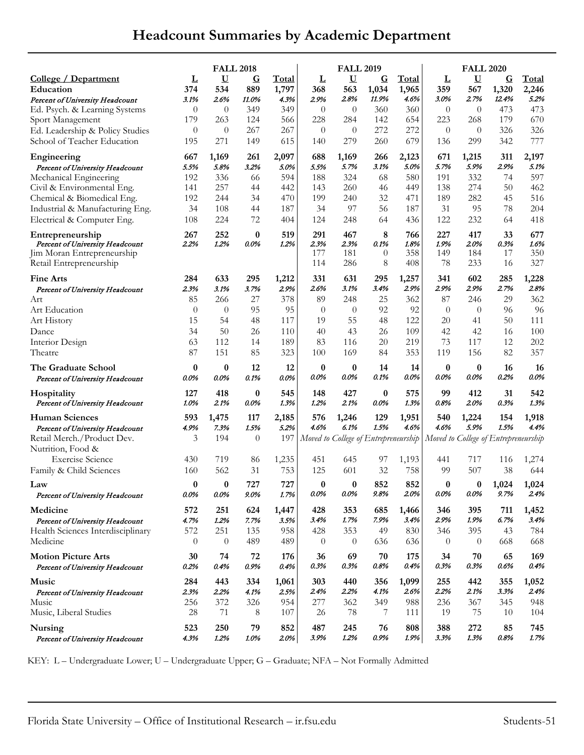## **Headcount Summaries by Academic Department**

|                                                                                                              | <b>FALL 2018</b> |                                        |                                |                        |                           | <b>FALL 2019</b>                     |                                  |                           | <b>FALL 2020</b>                       |                                        |                                  |                           |  |
|--------------------------------------------------------------------------------------------------------------|------------------|----------------------------------------|--------------------------------|------------------------|---------------------------|--------------------------------------|----------------------------------|---------------------------|----------------------------------------|----------------------------------------|----------------------------------|---------------------------|--|
| <u>College / Department</u><br>Education<br>Percent of University Headcount                                  | Ţ<br>374<br>3.1% | $\overline{\mathsf{U}}$<br>534<br>2.6% | $\overline{G}$<br>889<br>11.0% | Total<br>1,797<br>4.3% | Ţ<br>368<br>2.9%          | $\bf U$<br>563<br>2.8%               | $\overline{G}$<br>1,034<br>11.9% | Total<br>1,965<br>4.6%    | $\overline{\mathsf{r}}$<br>359<br>3.0% | $\overline{\mathbf{U}}$<br>567<br>2.7% | $\overline{G}$<br>1,320<br>12.4% | Total<br>2,246<br>5.2%    |  |
| Ed. Psych. & Learning Systems                                                                                | $\theta$         | $\theta$                               | 349                            | 349                    | $\theta$                  | $\theta$                             | 360                              | 360                       | $\theta$                               | $\theta$                               | 473                              | 473                       |  |
| Sport Management                                                                                             | 179              | 263                                    | 124                            | 566                    | 228                       | 284                                  | 142                              | 654                       | 223                                    | 268                                    | 179                              | 670                       |  |
| Ed. Leadership & Policy Studies                                                                              | $\theta$         | $\theta$                               | 267                            | 267                    | $\theta$                  | $\theta$                             | 272                              | 272                       | $\theta$                               | $\theta$                               | 326                              | 326                       |  |
| School of Teacher Education                                                                                  | 195              | 271                                    | 149                            | 615                    | 140                       | 279                                  | 260                              | 679                       | 136                                    | 299                                    | 342                              | 777                       |  |
| Engineering                                                                                                  | 667              | 1,169                                  | 261                            | 2,097                  | 688                       | 1,169                                | 266                              | 2,123                     | 671                                    | 1,215                                  | 311                              | 2,197                     |  |
| Percent of University Headcount                                                                              | 5.5%             | 5.8%                                   | 3.2%                           | 5.0%                   | 5.5%                      | 5.7%                                 | 3.1%                             | 5.0%                      | 5.7%                                   | 5.9%                                   | 2.9%                             | 5.1%                      |  |
| Mechanical Engineering                                                                                       | 192              | 336                                    | 66                             | 594                    | 188                       | 324                                  | 68                               | 580                       | 191                                    | 332                                    | 74                               | 597                       |  |
| Civil & Environmental Eng.                                                                                   | 141              | 257                                    | 44                             | 442                    | 143                       | 260                                  | 46                               | 449                       | 138                                    | 274                                    | 50                               | 462                       |  |
| Chemical & Biomedical Eng.                                                                                   | 192              | 244                                    | 34                             | 470                    | 199                       | 240                                  | 32                               | 471                       | 189                                    | 282                                    | 45                               | 516                       |  |
| Industrial & Manufacturing Eng.                                                                              | 34               | 108                                    | 44                             | 187                    | 34                        | 97                                   | 56                               | 187                       | 31                                     | 95                                     | 78                               | 204                       |  |
| Electrical & Computer Eng.                                                                                   | 108              | 224                                    | 72                             | 404                    | 124                       | 248                                  | 64                               | 436                       | 122                                    | 232                                    | 64                               | 418                       |  |
| Entrepreneurship<br>Percent of University Headcount<br>Jim Moran Entrepreneurship<br>Retail Entrepreneurship | 267<br>2.2%      | 252<br>1.2%                            | $\bf{0}$<br>0.0%               | 519<br>1.2%            | 291<br>2.3%<br>177<br>114 | 467<br>2.3%<br>181<br>286            | 8<br>0.1%<br>$\theta$<br>8       | 766<br>1.8%<br>358<br>408 | 227<br>1.9%<br>149<br>78               | 417<br>2.0%<br>184<br>233              | 33<br>0.3%<br>17<br>16           | 677<br>1.6%<br>350<br>327 |  |
| <b>Fine Arts</b>                                                                                             | 284              | 633                                    | 295                            | 1,212                  | 331                       | 631                                  | 295                              | 1,257                     | 341                                    | 602                                    | 285                              | 1,228                     |  |
| Percent of University Headcount                                                                              | 2.3%             | 3.1%                                   | 3.7%                           | 2.9%                   | 2.6%                      | 3.1%                                 | 3.4%                             | 2.9%                      | 2.9%                                   | 2.9%                                   | 2.7%                             | 2.8%                      |  |
| Art                                                                                                          | 85               | 266                                    | 27                             | 378                    | 89                        | 248                                  | 25                               | 362                       | 87                                     | 246                                    | 29                               | 362                       |  |
| Art Education                                                                                                | $\theta$         | $\theta$                               | 95                             | 95                     | $\theta$                  | $\theta$                             | 92                               | 92                        | $\theta$                               | $\theta$                               | 96                               | 96                        |  |
| Art History                                                                                                  | 15               | 54                                     | 48                             | 117                    | 19                        | 55                                   | 48                               | 122                       | 20                                     | 41                                     | 50                               | 111                       |  |
| Dance                                                                                                        | 34               | 50                                     | 26                             | 110                    | 40                        | 43                                   | 26                               | 109                       | 42                                     | 42                                     | 16                               | 100                       |  |
| Interior Design                                                                                              | 63               | 112                                    | 14                             | 189                    | 83                        | 116                                  | 20                               | 219                       | 73                                     | 117                                    | 12                               | 202                       |  |
| Theatre                                                                                                      | 87               | 151                                    | 85                             | 323                    | 100                       | 169                                  | 84                               | 353                       | 119                                    | 156                                    | 82                               | 357                       |  |
| The Graduate School                                                                                          | 0                | 0                                      | 12                             | 12                     | 0                         | 0                                    | 14                               | 14                        | $\bf{0}$                               | $\boldsymbol{0}$                       | 16                               | 16                        |  |
| Percent of University Headcount                                                                              | 0.0%             | 0.0%                                   | 0.1%                           | 0.0%                   | 0.0%                      | 0.0%                                 | 0.1%                             | $0.0\%$                   | 0.0%                                   | 0.0%                                   | 0.2%                             | $0.0\%$                   |  |
| <b>Hospitality</b>                                                                                           | 127              | 418                                    | 0                              | 545                    | 148                       | 427                                  | $\bf{0}$                         | 575                       | 99                                     | 412                                    | 31                               | 542                       |  |
| Percent of University Headcount                                                                              | 1.0%             | 2.1%                                   | 0.0%                           | 1.3%                   | 1.2%                      | 2.1%                                 | 0.0%                             | 1.3%                      | 0.8%                                   | 2.0%                                   | 0.3%                             | 1.3%                      |  |
| <b>Human Sciences</b>                                                                                        | 593              | 1,475                                  | 117                            | 2,185                  | 576                       | 1,246                                | 129                              | 1,951                     | 540                                    | 1,224                                  | 154                              | 1,918                     |  |
| Percent of University Headcount                                                                              | 4.9%             | 7.3%                                   | 1.5%                           | 5.2%                   | 4.6%                      | 6.1%                                 | 1.5%                             | 4.6%                      | 4.6%                                   | 5.9%                                   | 1.5%                             | 4.4%                      |  |
| Retail Merch./Product Dev.<br>Nutrition, Food &                                                              | 3                | 194                                    | $\theta$                       | 197                    |                           | Moved to College of Entrepreneurship |                                  |                           | Moved to College of Entrepreneurship   |                                        |                                  |                           |  |
| <b>Exercise Science</b>                                                                                      | 430              | 719                                    | 86                             | 1,235                  | 451                       | 645                                  | 97                               | 1,193                     | 441                                    | 717                                    | 116                              | 1,274                     |  |
| Family & Child Sciences                                                                                      | 160              | 562                                    | 31                             | 753                    | 125                       | 601                                  | 32                               | 758                       | 99                                     | 507                                    | 38                               | 644                       |  |
| Law                                                                                                          | 0                | 0                                      | 727                            | 727                    | 0                         | 0                                    | 852                              | 852                       | 0                                      | $\bf{0}$                               | 1,024                            | 1,024                     |  |
| Percent of University Headcount                                                                              | 0.0%             | $0.0\%$                                | $9.0\%$                        | 1.7%                   | 0.0%                      | 0.0%                                 | 9.8%                             | 2.0%                      | 0.0%                                   | 0.0%                                   | 9.7%                             | 2.4%                      |  |
| Medicine                                                                                                     | 572              | 251                                    | 624                            | 1,447                  | 428                       | 353                                  | 685                              | 1,466                     | 346                                    | 395                                    | 711                              | 1,452                     |  |
| Percent of University Headcount                                                                              | 4.7%             | 1.2%                                   | 7.7%                           | 3.5%                   | 3.4%                      | 1.7%                                 | 7.9%                             | 3.4%                      | 2.9%                                   | 1.9%                                   | 6.7%                             | 3.4%                      |  |
| Health Sciences Interdisciplinary                                                                            | 572              | 251                                    | 135                            | 958                    | 428                       | 353                                  | 49                               | 830                       | 346                                    | 395                                    | 43                               | 784                       |  |
| Medicine                                                                                                     | $\theta$         | $\theta$                               | 489                            | 489                    | $\theta$                  | $\theta$                             | 636                              | 636                       | $\theta$                               | $\theta$                               | 668                              | 668                       |  |
| <b>Motion Picture Arts</b>                                                                                   | 30               | 74                                     | 72                             | 176                    | 36                        | 69                                   | 70                               | 175                       | 34                                     | 70                                     | 65                               | 169                       |  |
| Percent of University Headcount                                                                              | 0.2%             | 0.4%                                   | 0.9%                           | 0.4%                   | 0.3%                      | 0.3%                                 | 0.8%                             | 0.4%                      | 0.3%                                   | 0.3%                                   | 0.6%                             | 0.4%                      |  |
| Music                                                                                                        | 284              | 443                                    | 334                            | 1,061                  | 303                       | 440                                  | 356                              | 1,099                     | 255                                    | 442                                    | 355                              | 1,052                     |  |
| Percent of University Headcount                                                                              | 2.3%             | 2.2%                                   | 4.1%                           | 2.5%                   | 2.4%                      | 2.2%                                 | 4.1%                             | 2.6%                      | 2.2%                                   | 2.1%                                   | 3.3%                             | 2.4%                      |  |
| Music                                                                                                        | 256              | 372                                    | 326                            | 954                    | 277                       | 362                                  | 349                              | 988                       | 236                                    | 367                                    | 345                              | 948                       |  |
| Music, Liberal Studies                                                                                       | 28               | 71                                     | 8                              | 107                    | 26                        | 78                                   | 7                                | 111                       | 19                                     | 75                                     | 10                               | 104                       |  |
| Nursing                                                                                                      | 523              | 250                                    | 79                             | 852                    | 487                       | 245                                  | 76                               | 808                       | 388                                    | 272                                    | 85                               | 745                       |  |
| Percent of University Headcount                                                                              | 4.3%             | 1.2%                                   | 1.0%                           | 2.0%                   | 3.9%                      | 1.2%                                 | 0.9%                             | 1.9%                      | 3.3%                                   | 1.3%                                   | 0.8%                             | 1.7%                      |  |

KEY: L – Undergraduate Lower; U – Undergraduate Upper; G – Graduate; NFA – Not Formally Admitted